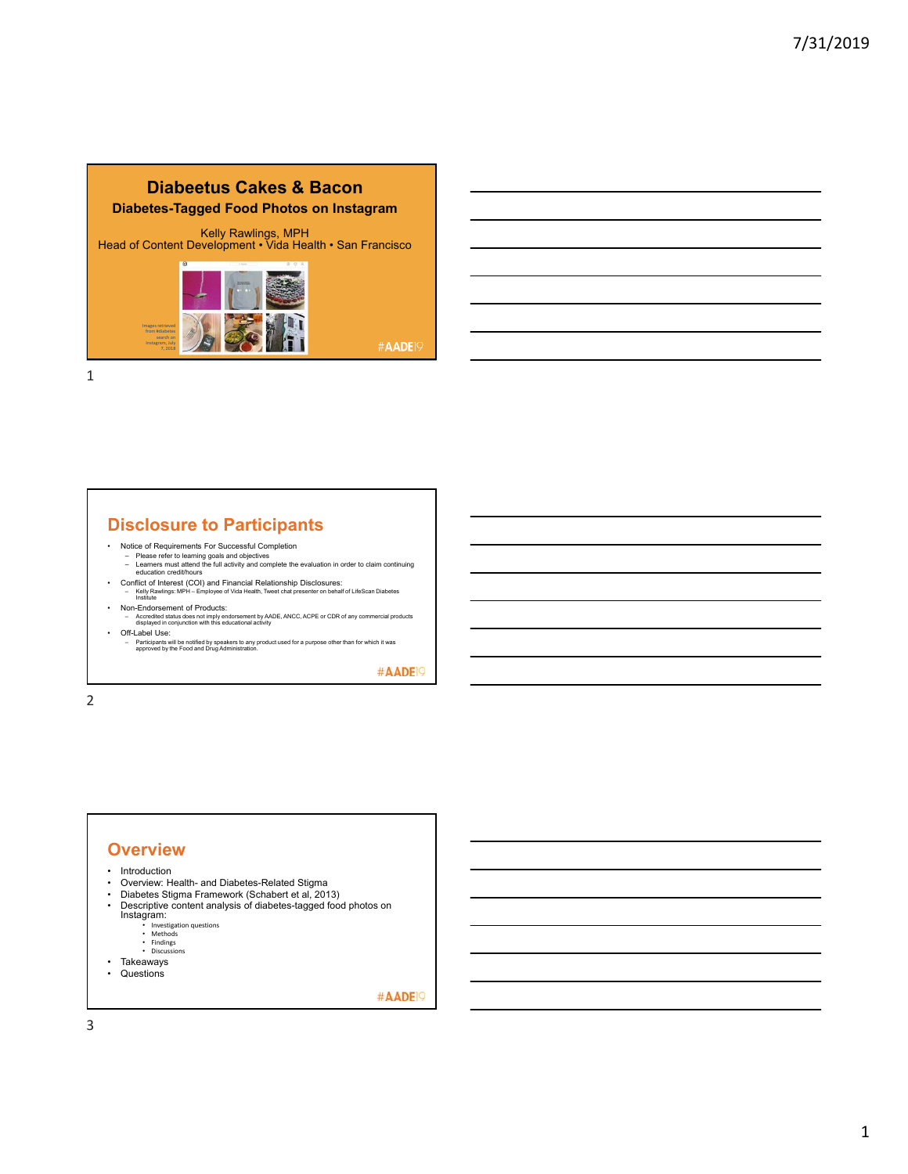## **Diabeetus Cakes & Bacon Diabetes-Tagged Food Photos on Instagram**

Kelly Rawlings, MPH Head of Content Development • Vida Health • San Francisco



#AADE<sup>19</sup>

1

# **Disclosure to Participants**

- 
- Notice of Requirements For Successful Completion Please refer to learning goals and objectives Learners must attend the full activity and complete the evaluation in order to claim continuing education credit/hours
- Conflict of Interest (COI) and Financial Relationship Disclosures: Kelly Rawlings: MPH Employee of Vida Health, Tweet chat presenter on behalf of LifeScan Diabetes Institute
- Non-Endorsement of Products: – Accredited status does not imply endorsement by AADE, ANCC, ACPE or CDR of any commercial products displayed in conjunction with this educational activity
- Off-Label Use: – Participants will be notified by speakers to any product used for a purpose other than for which it was approved by the Food and Drug Administration.

#AADE<sup>19</sup>

2

#### **Overview** • Introduction<br>• Overview: He • Overview: Health- and Diabetes-Related Stigma<br>• Diabetes Stigma Framework (Schabert et al. 201 • Diabetes Stigma Framework (Schabert et al, 2013)<br>• Descriptive content analysis of diabetes-tagged food

- Descriptive content analysis of diabetes-tagged food photos on Instagram: Investigation questions
	-
	- Methods Findings Discussions
	-
- Takeaways
- Questions

#AADE<sup>19</sup>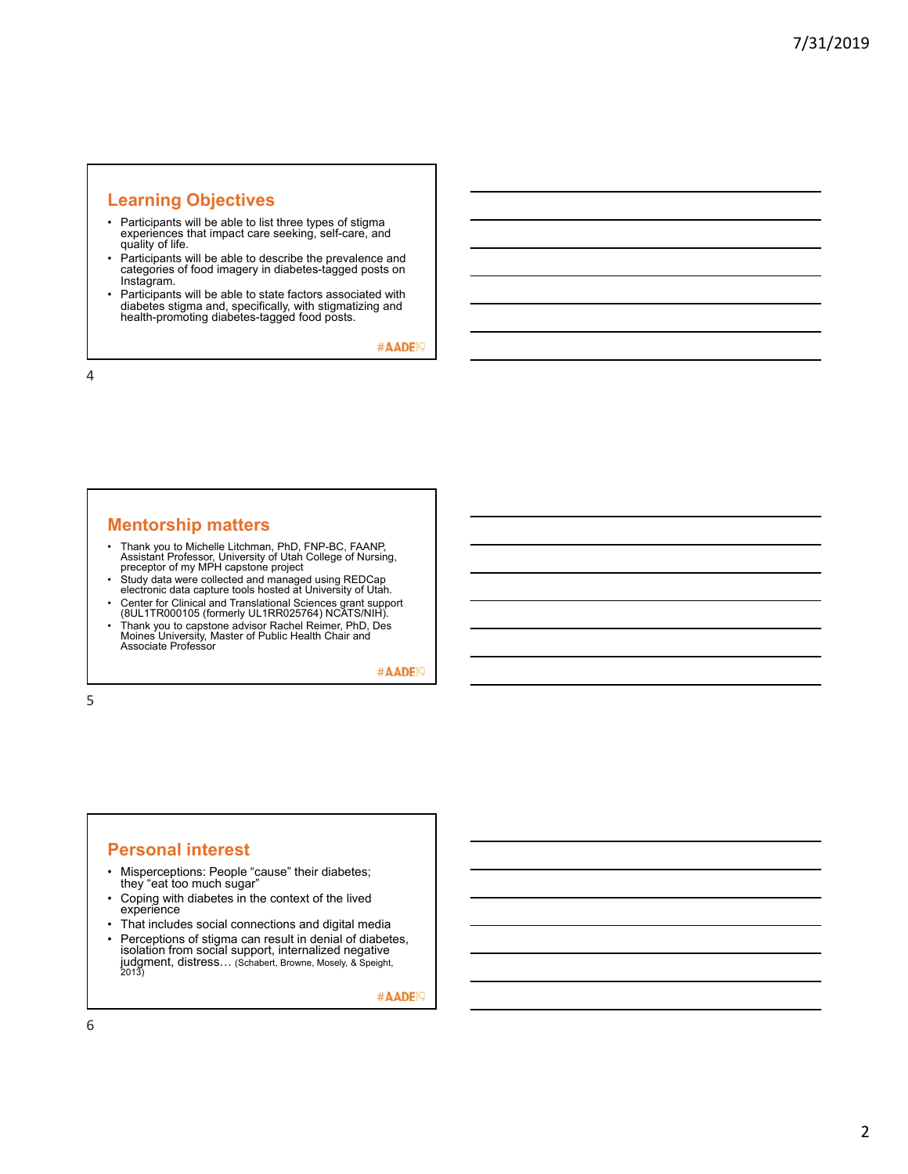# **Learning Objectives**

- Participants will be able to list three types of stigma experiences that impact care seeking, self-care, and quality of life.
- Participants will be able to describe the prevalence and categories of food imagery in diabetes-tagged posts on Instagram.
- Participants will be able to state factors associated with diabetes stigma and, specifically, with stigmatizing and health-promoting diabetes-tagged food posts.

#AADE<sup>19</sup>

4

# **Mentorship matters**

- Thank you to Michelle Litchman, PhD, FNP-BC, FAANP, Assistant Professor, University of Utah College of Nursing, preceptor of my MPH capstone project
- Study data were collected and managed using REDCap electronic data capture tools hosted at University of Utah.
- Center for Clinical and Translational Sciences grant support (8UL1TR000105 (formerly UL1RR025764) NCATS/NIH).
- Thank you to capstone advisor Rachel Reimer, PhD, Des Moines University, Master of Public Health Chair and Associate Professor

#AADE<sup>19</sup>

5

#### **Personal interest**

- Misperceptions: People "cause" their diabetes; they "eat too much sugar"
- Coping with diabetes in the context of the lived experience
- That includes social connections and digital media
- Perceptions of stigma can result in denial of diabetes, isolation from social support, internalized negative judgment, distress… (Schabert, Browne, Mosely, & Speight, 2013)

#AADE<sup>19</sup>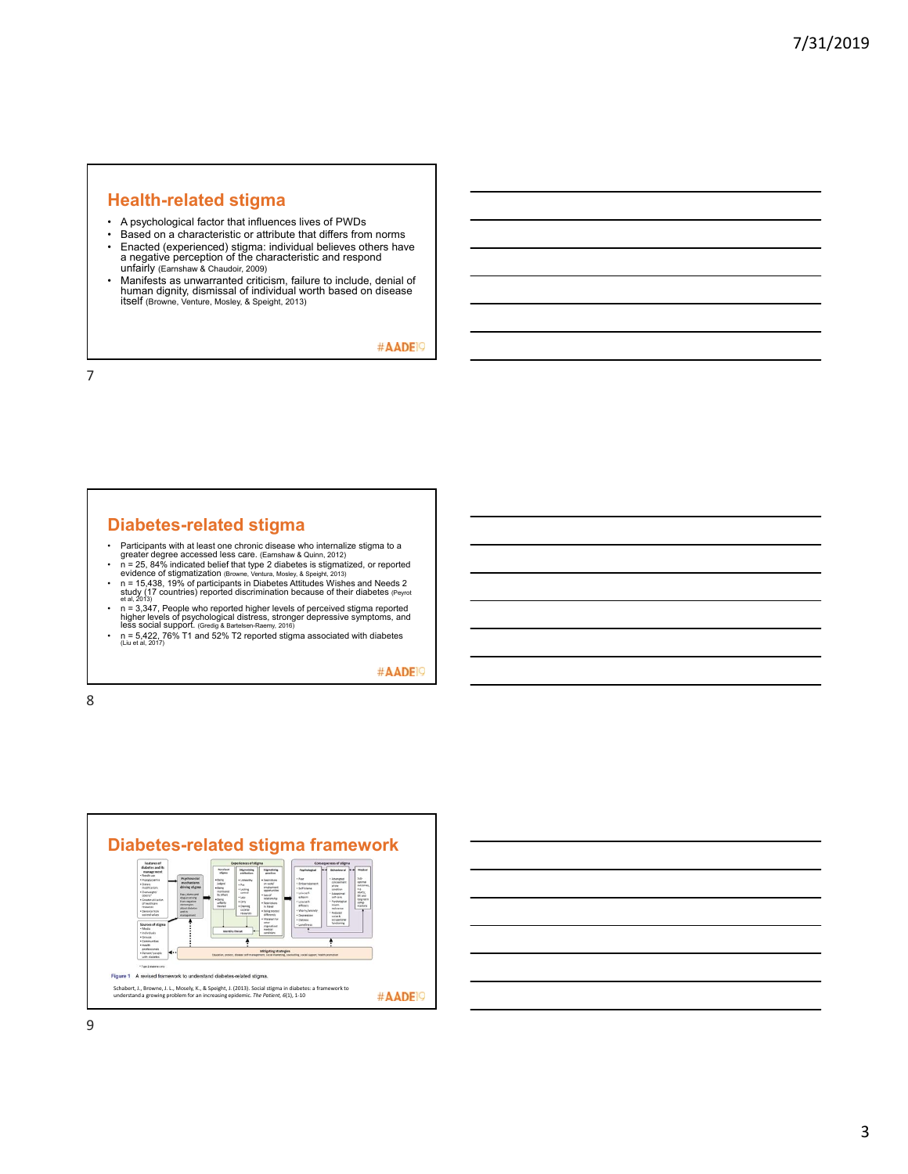#### **Health-related stigma**

- A psychological factor that influences lives of PWDs
- Based on a characteristic or attribute that differs from norms<br>• Fnacted (experienced) stigma: individual believes others have
- Enacted (experienced) stigma: individual believes others have a negative perception of the characteristic and respond unfairly (Earnshaw & Chaudoir, 2009)
- Manifests as unwarranted criticism, failure to include, denial of human dignity, dismissal of individual worth based on disease itself (Browne, Venture, Mosley, & Speight, 2013)

#AADE<sup>19</sup>

7

## **Diabetes-related stigma**

- 
- 
- 
- Participants with at least one chronic disease who internalize stigma to a<br>greater degree accessed less care. (Earnshaw & Quinn, 2012)<br>
 n = 25, 84% indicated belief that type 2 diabetes is stigmatized, or reported<br>
e
- 

#AADE<sup>19</sup>



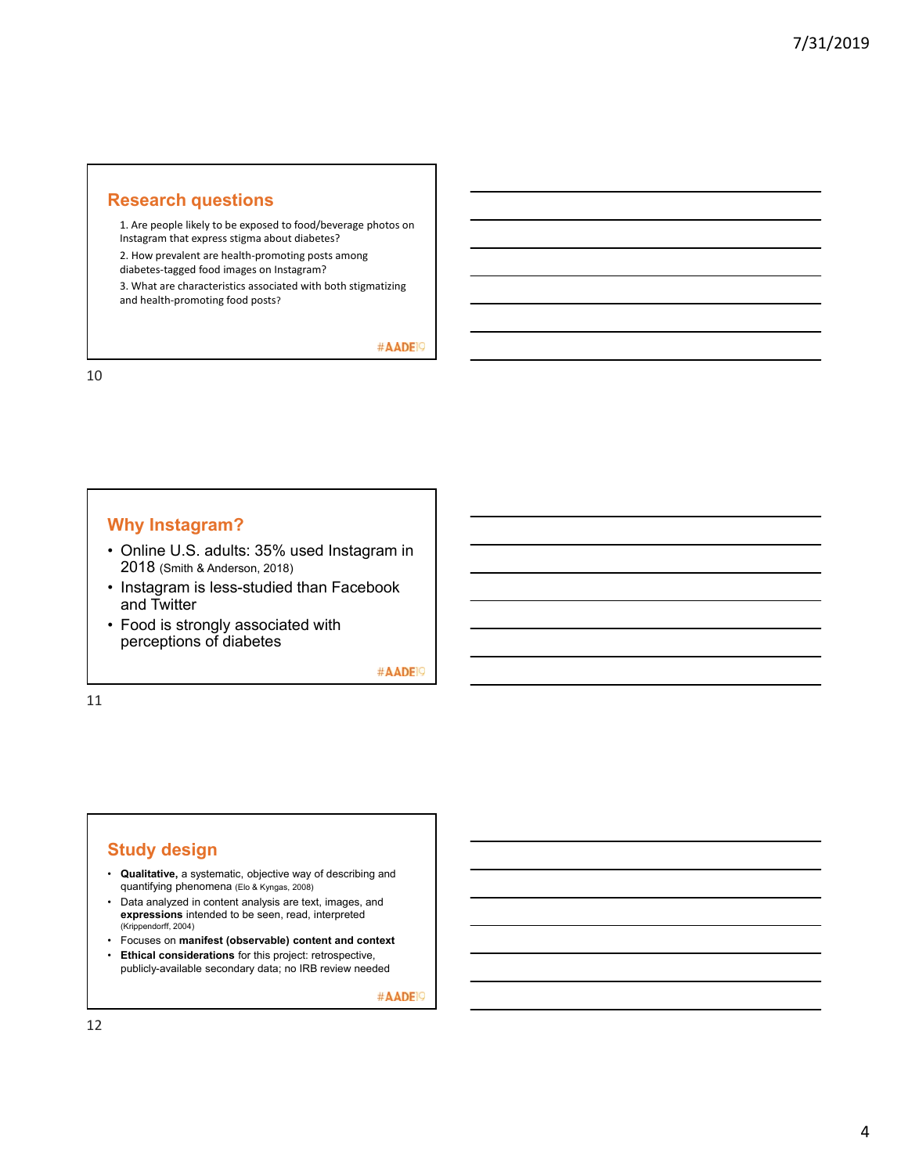#### **Research questions**

1. Are people likely to be exposed to food/beverage photos on Instagram that express stigma about diabetes?

2. How prevalent are health‐promoting posts among

diabetes‐tagged food images on Instagram?

3. What are characteristics associated with both stigmatizing and health‐promoting food posts?

#AADE<sup>19</sup>

10

# **Why Instagram?**

- Online U.S. adults: 35% used Instagram in 2018 (Smith & Anderson, 2018)
- Instagram is less-studied than Facebook and Twitter
- Food is strongly associated with perceptions of diabetes

#AADE<sup>19</sup>

11

#### **Study design**

- **Qualitative,** a systematic, objective way of describing and quantifying phenomena (Elo & Kyngas, 2008)
- Data analyzed in content analysis are text, images, and **expressions** intended to be seen, read, interpreted (Krippendorff, 2004)
- Focuses on **manifest (observable) content and context**
- **Ethical considerations** for this project: retrospective, publicly-available secondary data; no IRB review needed

#AADE<sup>19</sup>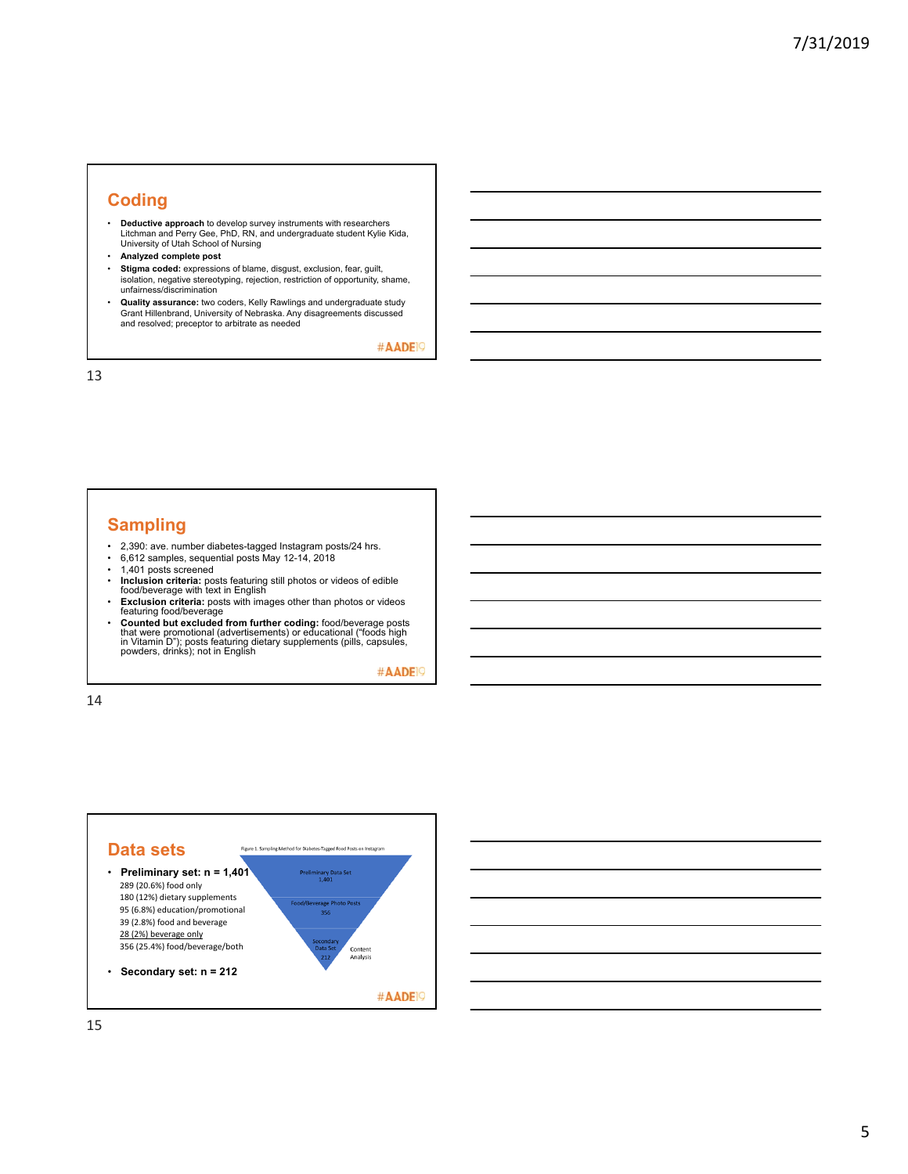#### **Coding**

- **Deductive approach** to develop survey instruments with researchers Litchman and Perry Gee, PhD, RN, and undergraduate student Kylie Kida, University of Utah School of Nursing
- **Analyzed complete post**
- **Stigma coded:** expressions of blame, disgust, exclusion, fear, guilt, isolation, negative stereotyping, rejection, restriction of opportunity, shame, unfairness/discrimination
- **Quality assurance:** two coders, Kelly Rawlings and undergraduate study Grant Hillenbrand, University of Nebraska. Any disagreements discussed and resolved; preceptor to arbitrate as needed

#AADE<sup>19</sup>

13

#### **Sampling**

- 2,390: ave. number diabetes-tagged Instagram posts/24 hrs.
- 6,612 samples, sequential posts May 12-14, 2018 1,401 posts screened
- 
- **Inclusion criteria:** posts featuring still photos or videos of edible food/beverage with text in English
- **Exclusion criteria:** posts with images other than photos or videos featuring food/beverage
- Counted but excluded from further coding: food/beverage posts<br>that were promotional (advertisements) or educational ("foods high<br>in Vitamin D"); posts featuring dietary supplements (pills, capsules,<br>powders, drinks); not

#AADE<sup>19</sup>

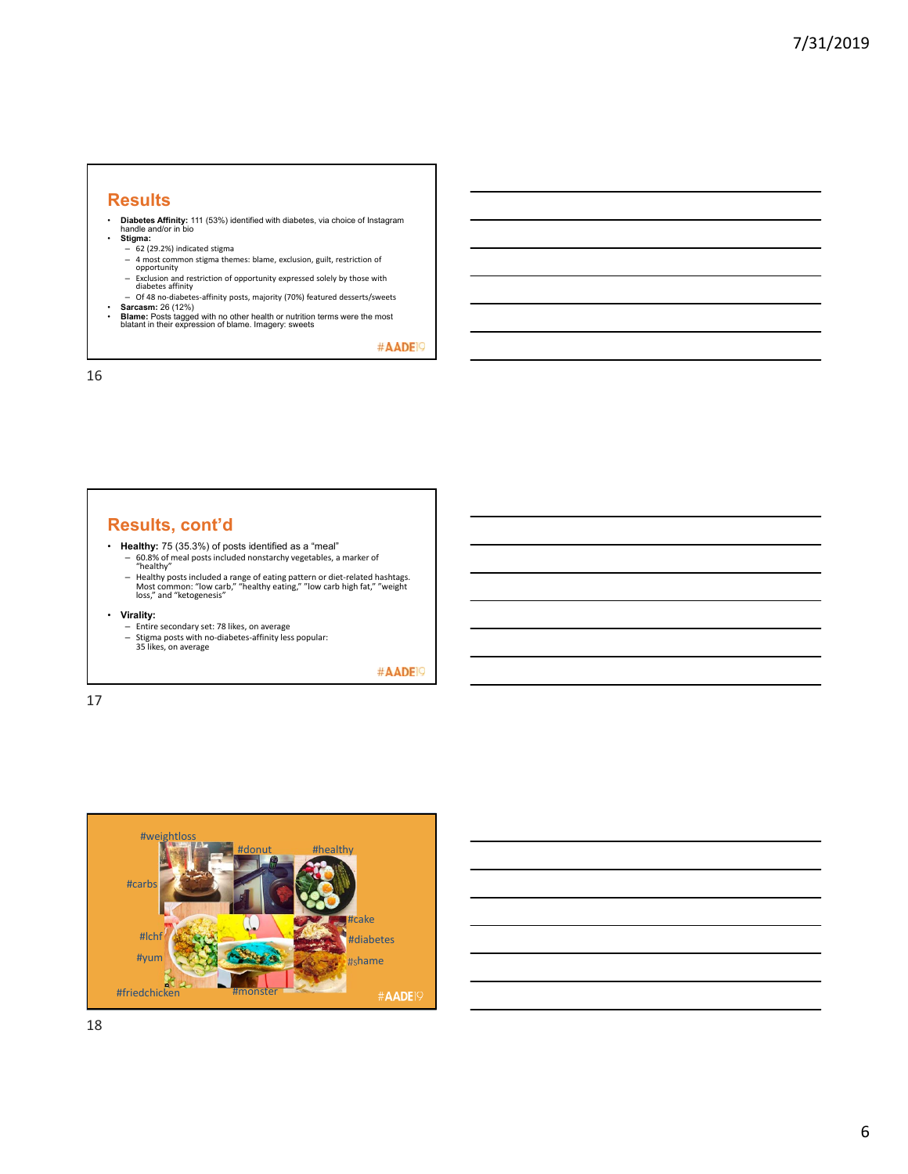#### **Results**

• **Diabetes Affinity:** 111 (53%) identified with diabetes, via choice of Instagram handle and/or in bio

- **Stigma:**
- 
- $-$  62 (29.2%) indicated stigma<br>- 4 most common stigma themes: blame, exclusion, guilt, restriction of – 4 most common stigma themes: blame, exclusion, guilt, restriction of opportunity
- Exclusion and restriction of opportunity expressed solely by those with diabetes affinity – Of 48 no‐diabetes‐affinity posts, majority (70%) featured desserts/sweets
- 
- **Sarcasm:** 26 (12%) **Blame:** Posts tagged with no other health or nutrition terms were the most blatant in their expression of blame. Imagery: sweets

#AADE<sup>19</sup>

16

#### **Results, cont'd**

- **Healthy:** 75 (35.3%) of posts identified as a "meal"<br>- 60.8% of meal posts included nonstarchy vegetables, a marker of<br>"healthy"
	-
	- Healthy posts included a range of eating pattern or diet-related hashtags.<br>Most common: "low carb," "healthy eating," "low carb high fat," "weight<br>loss," and "ketogenesis"
- -
- **Virality:**<br>
 Entire secondary set: 78 likes, on average<br>
 Stigma posts with no-diabetes-affinity less popular:<br>
35 likes, on average

#AADE<sup>19</sup>

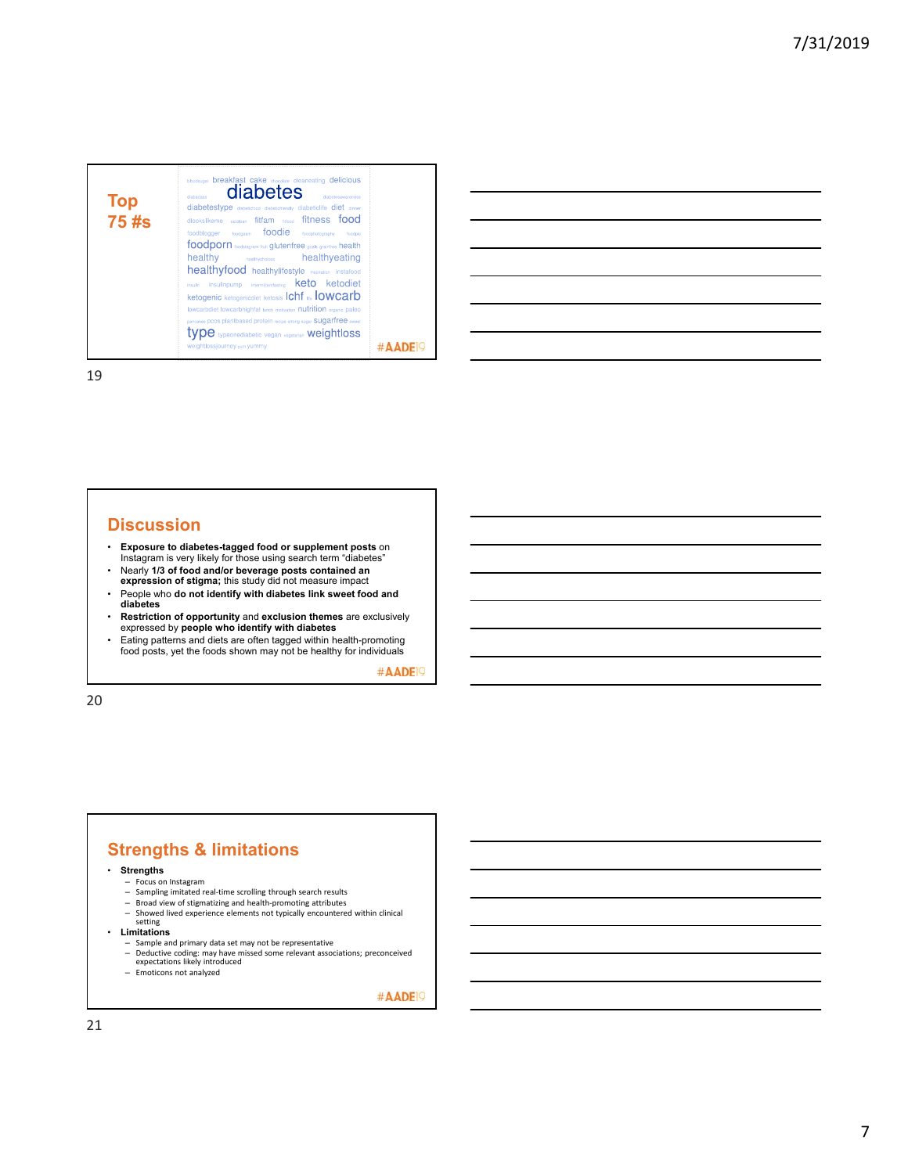| Top<br>75 #s | bloodsugar breakfast cake chocolate cleaneating delicious<br>diabetes<br>dishetestwareness<br>dishadass<br>diabetestype diabetictood diabetictriendly diabeticlife diet dinner<br>dlookslikeme eatdean fitfam nuord fitness food<br>foodblogger foodgasm <b>foodie</b><br>foodphotography<br>fondoio<br>foodporn toodstagram fruit glutenfree goals graintree health<br>healthy<br><b>healthychoices healthyeating</b><br>healthyfood healthylifestyle inspiration instafood<br>insulinpump intermittentfasting <b>keto</b> ketodiet<br>insulin<br>Ketogenic ketogenicdiet ketosis Ichf Re IOWCarb<br>lowcarbdiet lowcarbhighfat tunch motivation nutrition organic paleo<br>pancakes pcos plantbased protein recipe strong sugar SUQATTFEE sweet<br><b>TYDE</b> typeonediabetic vegan vegetarian weightloss<br>weight ossjourney yum yummy |  |
|--------------|---------------------------------------------------------------------------------------------------------------------------------------------------------------------------------------------------------------------------------------------------------------------------------------------------------------------------------------------------------------------------------------------------------------------------------------------------------------------------------------------------------------------------------------------------------------------------------------------------------------------------------------------------------------------------------------------------------------------------------------------------------------------------------------------------------------------------------------------|--|
|--------------|---------------------------------------------------------------------------------------------------------------------------------------------------------------------------------------------------------------------------------------------------------------------------------------------------------------------------------------------------------------------------------------------------------------------------------------------------------------------------------------------------------------------------------------------------------------------------------------------------------------------------------------------------------------------------------------------------------------------------------------------------------------------------------------------------------------------------------------------|--|

| <u> 1989 - Johann Barn, amerikan bernama di sebagai bernama di sebagai bernama di sebagai bernama di sebagai ber</u> |  |  |
|----------------------------------------------------------------------------------------------------------------------|--|--|
| <u> 1989 - Johann Stoff, amerikansk politiker (d. 1989)</u>                                                          |  |  |
| <u> 1989 - Johann Stoff, amerikansk politiker (d. 1989)</u>                                                          |  |  |
|                                                                                                                      |  |  |
| <u> 1980 - Andrea Stadt Britain, amerikansk politik (* 1950)</u>                                                     |  |  |
| <u> 1989 - Andrea Santa Andrea Andrea Andrea Andrea Andrea Andrea Andrea Andrea Andrea Andrea Andrea Andrea Andr</u> |  |  |
|                                                                                                                      |  |  |

19

#### **Discussion**

- **Exposure to diabetes-tagged food or supplement posts** on Instagram is very likely for those using search term "diabetes"
- Nearly **1/3 of food and/or beverage posts contained an expression of stigma;** this study did not measure impact
- People who **do not identify with diabetes link sweet food and diabetes**
- **Restriction of opportunity** and **exclusion themes** are exclusively expressed by **people who identify with diabetes**
- Eating patterns and diets are often tagged within health-promoting food posts, yet the foods shown may not be healthy for individuals

#AADE<sup>19</sup>

20

# **Strengths & limitations**

- **Strengths**
	-
	- Focus on Instagram Sampling imitated real‐time scrolling through search results
	-
- Broad view of stigmatizing and health‐promoting attributes<br>– Showed lived experience elements not typically encountered within clinical<br>setting • **Limitations**
- -
	- Sample and primary data set may not be representative Deductive coding: may have missed some relevant associations; preconceived expectations likely introduced Emoticons not analyzed
	-

#AADE<sup>1</sup>